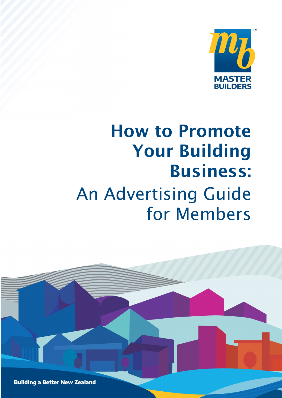

# How to Promote Your Building Business: An Advertising Guide for Members

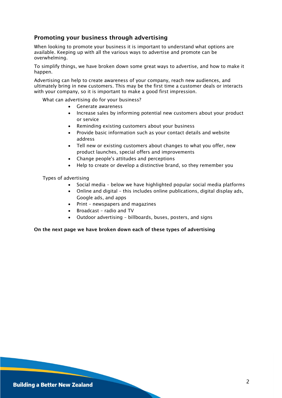# Promoting your business through advertising

When looking to promote your business it is important to understand what options are available. Keeping up with all the various ways to advertise and promote can be overwhelming.

To simplify things, we have broken down some great ways to advertise, and how to make it happen.

Advertising can help to create awareness of your company, reach new audiences, and ultimately bring in new customers. This may be the first time a customer deals or interacts with your company, so it is important to make a good first impression.

What can advertising do for your business?

- Generate awareness
- Increase sales by informing potential new customers about your product or service
- Reminding existing customers about your business
- Provide basic information such as your contact details and website address
- Tell new or existing customers about changes to what you offer, new product launches, special offers and improvements
- Change people's attitudes and perceptions
- Help to create or develop a distinctive brand, so they remember you

Types of advertising

- Social media below we have highlighted popular social media platforms
- Online and digital this includes online publications, digital display ads, Google ads, and apps
- Print newspapers and magazines
- Broadcast radio and TV
- Outdoor advertising billboards, buses, posters, and signs

#### On the next page we have broken down each of these types of advertising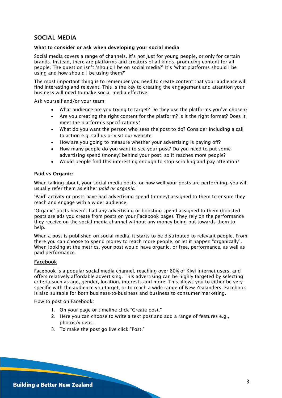# SOCIAL MEDIA

#### What to consider or ask when developing your social media

Social media covers a range of channels. It's not just for young people, or only for certain brands. Instead, there are platforms and creators of all kinds, producing content for all people. The question isn't 'should I be on social media?' It's 'what platforms should I be using and how should I be using them?'

The most important thing is to remember you need to create content that your audience will find interesting and relevant. This is the key to creating the engagement and attention your business will need to make social media effective.

Ask yourself and/or your team:

- What audience are you trying to target? Do they use the platforms you've chosen?
- Are you creating the right content for the platform? Is it the right format? Does it meet the platform's specifications?
- What do you want the person who sees the post to do? Consider including a call to action e.g. call us or visit our website.
- How are you going to measure whether your advertising is paying off?
- How many people do you want to see your post? Do you need to put some advertising spend (money) behind your post, so it reaches more people?
- Would people find this interesting enough to stop scrolling and pay attention?

#### Paid vs Organic:

When talking about, your social media posts, or how well your posts are performing, you will usually refer them as either *paid or organic.* 

'Paid' activity or posts have had advertising spend (money) assigned to them to ensure they reach and engage with a wider audience.

'Organic' posts haven't had any advertising or boosting spend assigned to them (boosted posts are ads you create from posts on your Facebook page). They rely on the performance they receive on the social media channel without any money being put towards them to help.

When a post is published on social media, it starts to be distributed to relevant people. From there you can choose to spend money to reach more people, or let it happen "organically". When looking at the metrics, your post would have organic, or free, performance, as well as paid performance.

#### Facebook

Facebook is a popular social media channel, reaching over 80% of Kiwi internet users, and offers relatively affordable advertising. This advertising can be highly targeted by selecting criteria such as age, gender, location, interests and more. This allows you to either be very specific with the audience you target, or to reach a wide range of New Zealanders. Facebook is also suitable for both business-to-business and business to consumer marketing.

#### How to post on Facebook:

- 1. On your page or timeline click "Create post."
- 2. Here you can choose to write a text post and add a range of features e.g., photos/videos.
- 3. To make the post go live click "Post."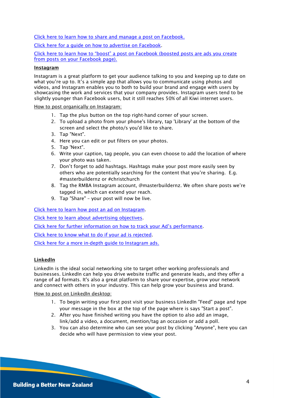[Click here to learn how to share and manage a post on Facebook.](https://www.facebook.com/help/1640261589632787)

[Click here for a guide on how to advertise on Facebook.](https://blog.hootsuite.com/how-to-advertise-on-facebook/)

[Click here to learn how to "boost" a post on Facebook](https://www.facebook.com/business/help/347839548598012?id=352109282177656) (boosted posts are ads you create from posts on your Facebook page).

#### Instagram

Instagram is a great platform to get your audience talking to you and keeping up to date on what you're up to. It's a simple app that allows you to communicate using photos and videos, and Instagram enables you to both to build your brand and engage with users by showcasing the work and services that your company provides. Instagram users tend to be slightly younger than Facebook users, but it still reaches 50% of all Kiwi internet users.

How to post organically on Instagram:

- 1. Tap the plus button on the top right-hand corner of your screen.
- 2. To upload a photo from your phone's library, tap 'Library' at the bottom of the screen and select the photo/s you'd like to share.
- 3. Tap "Next".
- 4. Here you can edit or put filters on your photos.
- 5. Tap 'Next".
- 6. Write your caption, tag people, you can even choose to add the location of where your photo was taken.
- 7. Don't forget to add hashtags. Hashtags make your post more easily seen by others who are potentially searching for the content that you're sharing. E.g. #masterbuildernz or #christchurch
- 8. Tag the RMBA Instagram account, @masterbuildernz. We often share posts we're tagged in, which can extend your reach.
- 9. Tap "Share" your post will now be live.

Click here to [learn how post an ad on Instagram.](https://blog.hootsuite.com/instagram-ads-guide/)

[Click here to learn about advertising objectives.](https://www.facebook.com/business/help/1621419411431034?id=1997185213680277)

[Click here for further information on how to track your Ad's performance.](https://www.facebook.com/business/help/1658492171030753?id=1780472682261131)

[Click here to know what to do if your ad is rejected.](https://acumenrepublic.sharepoint.com/sites/cRMB/Shared%20Documents/General/2021/Work%20Programmes/General%20Marketing/1.%09https:/www.facebook.com/business/help/416348909003540?id=689788528177451&recommended_by=1658492171030753)

[Click here for a more in-depth guide to Instagram ads.](https://cutt.ly/nbvtfYY)

## LinkedIn

LinkedIn is the ideal social networking site to target other working professionals and businesses. LinkedIn can help you drive website traffic and generate leads, and they offer a range of ad formats. It's also a great platform to share your expertise, grow your network and connect with others in your industry. This can help grow your business and brand.

How to post on LinkedIn desktop:

- 1. To begin writing your first post visit your business LinkedIn "Feed" page and type your message in the box at the top of the page where is says "Start a post".
- 2. After you have finished writing you have the option to also add an image, link/add a video, a document, mention/tag an occasion or add a poll.
- 3. You can also determine who can see your post by clicking "Anyone", here you can decide who will have permission to view your post.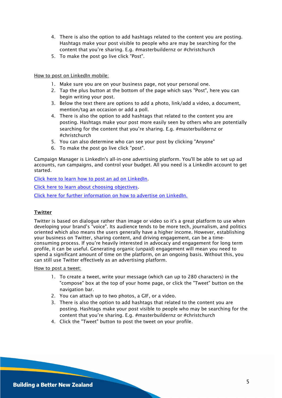- 4. There is also the option to add hashtags related to the content you are posting. Hashtags make your post visible to people who are may be searching for the content that you're sharing. E.g. #masterbuildernz or #christchurch
- 5. To make the post go live click "Post".

#### How to post on LinkedIn mobile:

- 1. Make sure you are on your business page, not your personal one.
- 2. Tap the plus button at the bottom of the page which says "Post", here you can begin writing your post.
- 3. Below the text there are options to add a photo, link/add a video, a document, mention/tag an occasion or add a poll.
- 4. There is also the option to add hashtags that related to the content you are posting. Hashtags make your post more easily seen by others who are potentially searching for the content that you're sharing. E.g. #masterbuildernz or #christchurch
- 5. You can also determine who can see your post by clicking "Anyone"
- 6. To make the post go live click "post".

Campaign Manager is LinkedIn's all-in-one advertising platform. You'll be able to set up ad accounts, run campaigns, and control your budget. All you need is a LinkedIn account to get started.

[Click here to learn how to post an ad on LinkedIn.](https://bit.ly/3Fi7OGd)

[Click here to learn about choosing objectives.](https://business.linkedin.com/marketing-solutions/success/best-practices/choose-your-objective)

[Click here for further information on how to advertise on LinkedIn.](https://bit.ly/2ZZWtul)

## **Twitter**

Twitter is based on dialogue rather than image or video so it's a great platform to use when developing your brand's "voice". Its audience tends to be more tech, journalism, and politics oriented which also means the users generally have a higher income. However, establishing your business on Twitter, sharing content, and driving engagement, can be a timeconsuming process. If you're heavily interested in advocacy and engagement for long term profile, it can be useful. Generating organic (unpaid) engagement will mean you need to spend a significant amount of time on the platform, on an ongoing basis. Without this, you can still use Twitter effectively as an advertising platform.

How to post a tweet:

- 1. To create a tweet, write your message (which can up to 280 characters) in the "compose" box at the top of your home page, or click the "Tweet" button on the navigation bar.
- 2. You can attach up to two photos, a GIF, or a video.
- 3. There is also the option to add hashtags that related to the content you are posting. Hashtags make your post visible to people who may be searching for the content that you're sharing. E.g. #masterbuildernz or #christchurch
- 4. Click the "Tweet" button to post the tweet on your profile.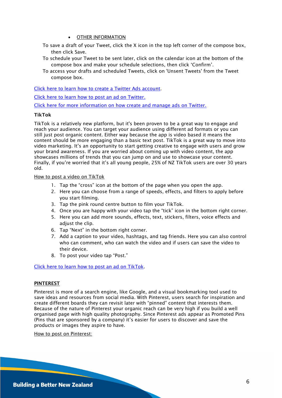#### • OTHER INFORMATION

- To save a draft of your Tweet, click the X icon in the top left corner of the compose box, then click Save.
- To schedule your Tweet to be sent later, click on the calendar icon at the bottom of the compose box and make your schedule selections, then click 'Confirm'.
- To access your drafts and scheduled Tweets, click on 'Unsent Tweets' from the Tweet compose box.

[Click here to learn how to create a Twitter Ads account.](https://business.twitter.com/en/help/account-setup/ads-account-creation.html)

[Click here to learn how to post an ad on Twitter.](https://blog.hootsuite.com/twitter-ads/)

[Click here for more information on how create and manage ads on Twitter.](https://bit.ly/3iB9wbT)

#### TikTok

TikTok is a relatively new platform, but it's been proven to be a great way to engage and reach your audience. You can target your audience using different ad formats or you can still just post organic content. Either way because the app is video based it means the content should be more engaging than a basic text post. TikTok is a great way to move into video marketing. It's an opportunity to start getting creative to engage with users and grow your brand awareness. If you are worried about coming up with video content, the app showcases millions of trends that you can jump on and use to showcase your content. Finally, if you're worried that it's all young people, 25% of NZ TikTok users are over 30 years old.

How to post a video on TikTok

- 1. Tap the "cross" icon at the bottom of the page when you open the app.
- 2. Here you can choose from a range of speeds, effects, and filters to apply before you start filming.
- 3. Tap the pink round centre button to film your TikTok.
- 4. Once you are happy with your video tap the "tick" icon in the bottom right corner.
- 5. Here you can add more sounds, effects, text, stickers, filters, voice effects and adjust the clip.
- 6. Tap "Next" in the bottom right corner.
- 7. Add a caption to your video, hashtags, and tag friends. Here you can also control who can comment, who can watch the video and if users can save the video to their device.
- 8. To post your video tap "Post."

[Click here to learn how to post an ad on TikTok.](https://www.cyberclick.net/numericalblogen/how-to-advertise-on-tiktok-step-by-step-guide)

#### PINTEREST

Pinterest is more of a search engine, like Google, and a visual bookmarking tool used to save ideas and resources from social media. With Pinterest, users search for inspiration and create different boards they can revisit later with "pinned" content that interests them. Because of the nature of Pinterest your organic reach can be very high if you build a well organised page with high quality photography. Since Pinterest ads appear as Promoted Pins (Pins that are sponsored by a company) it's easier for users to discover and save the products or images they aspire to have.

How to post on Pinterest: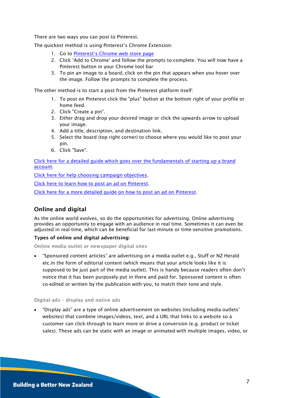There are two ways you can post to Pinterest.

The quickest method is using Pinterest's Chrome Extension:

- 1. Go to [Pinterest's Chrome web store page](https://chrome.google.com/webstore/detail/pinterest-save-button/gpdjojdkbbmdfjfahjcgigfpmkopogic)
- 2. Click 'Add to Chrome' and follow the prompts to complete. You will now have a Pinterest button in your Chrome tool bar
- 3. To pin an image to a board, click on the pin that appears when you hover over the image. Follow the prompts to complete the process.

The other method is to start a post from the Pinterest platform itself:

- 1. To post on Pinterest click the "plus" button at the bottom right of your profile or home feed.
- 2. Click "Create a pin".
- 3. Either drag and drop your desired image or click the upwards arrow to upload your image.
- 4. Add a title, description, and destination link.
- 5. Select the board (top right corner) to choose where you would like to post your pin.
- 6. Click "Save".

[Click here for a detailed guide which goes over the fundamentals of starting up a brand](https://blog.hootsuite.com/how-to-use-pinterest-for-business/)  [account.](https://blog.hootsuite.com/how-to-use-pinterest-for-business/)

[Click here for help choosing campaign objectives.](https://help.pinterest.com/en/business/article/campaign-objectives)

[Click here to learn how to post an ad on Pinterest.](https://help.pinterest.com/en/business/article/pick-pins-to-promote)

[Click here for a more detailed guide on how to post an ad on Pinterest.](https://blog.hootsuite.com/pinterest-ads/)

# Online and digital

As the online world evolves, so do the opportunities for advertising. Online advertising provides an opportunity to engage with an audience in real time. Sometimes it can even be adjusted in real-time, which can be beneficial for last-minute or time-sensitive promotions.

#### Types of online and digital advertising:

Online media outlet or newspaper digital sites

• "Sponsored content articles" are advertising on a media outlet e.g., Stuff or NZ Herald etc.in the form of editorial content (which means that your article looks like it is supposed to be just part of the media outlet). This is handy because readers often don't notice that it has been purposely put in there and paid for. Sponsored content is often co-edited or written by the publication with you, to match their tone and style.

Digital ads – display and native ads

• "Display ads" are a type of online advertisement on websites (including media outlets' websites) that combine images/videos, text, and a URL that links to a website so a customer can click-through to learn more or drive a conversion (e.g. product or ticket sales). These ads can be static with an image or animated with multiple images, video, or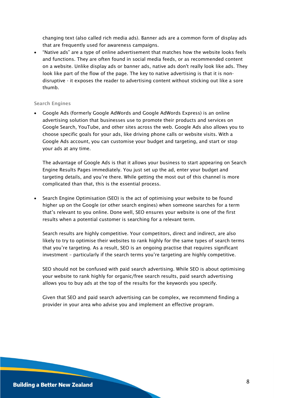changing text (also called rich media ads). Banner ads are a common form of display ads that are frequently used for awareness campaigns.

• "Native ads" are a type of online advertisement that matches how the website looks feels and functions. They are often found in social media feeds, or as recommended content on a website. Unlike display ads or banner ads, native ads don't really look like ads. They look like part of the flow of the page. The key to native advertising is that it is nondisruptive - it exposes the reader to advertising content without sticking out like a sore thumb.

#### Search Engines

• Google Ads (formerly Google AdWords and Google AdWords Express) is an online advertising solution that businesses use to promote their products and services on Google Search, YouTube, and other sites across the web. Google Ads also allows you to choose specific goals for your ads, like driving phone calls or website visits. With a Google Ads account, you can customise your budget and targeting, and start or stop your ads at any time.

The advantage of Google Ads is that it allows your business to start appearing on Search Engine Results Pages immediately. You just set up the ad, enter your budget and targeting details, and you're there. While getting the most out of this channel is more complicated than that, this is the essential process.

• Search Engine Optimisation (SEO) is the act of optimising your website to be found higher up on the Google (or other search engines) when someone searches for a term that's relevant to you online. Done well, SEO ensures your website is one of the first results when a potential customer is searching for a relevant term.

Search results are highly competitive. Your competitors, direct and indirect, are also likely to try to optimise their websites to rank highly for the same types of search terms that you're targeting. As a result, SEO is an ongoing practise that requires significant investment – particularly if the search terms you're targeting are highly competitive.

SEO should not be confused with paid search advertising. While SEO is about optimising your website to rank highly for organic/free search results, paid search advertising allows you to buy ads at the top of the results for the keywords you specify.

Given that SEO and paid search advertising can be complex, we recommend finding a provider in your area who advise you and implement an effective program.

#### **Building a Better New Zealand**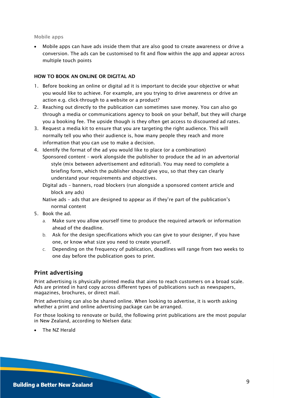#### Mobile apps

• Mobile apps can have ads inside them that are also good to create awareness or drive a conversion. The ads can be customised to fit and flow within the app and appear across multiple touch points

#### HOW TO BOOK AN ONLINE OR DIGITAL AD

- 1. Before booking an online or digital ad it is important to decide your objective or what you would like to achieve. For example, are you trying to drive awareness or drive an action e.g. click-through to a website or a product?
- 2. Reaching out directly to the publication can sometimes save money. You can also go through a media or communications agency to book on your behalf, but they will charge you a booking fee. The upside though is they often get access to discounted ad rates.
- 3. Request a media kit to ensure that you are targeting the right audience. This will normally tell you who their audience is, how many people they reach and more information that you can use to make a decision.
- 4. Identify the format of the ad you would like to place (or a combination) Sponsored content – work alongside the publisher to produce the ad in an advertorial style (mix between advertisement and editorial). You may need to complete a briefing form, which the publisher should give you, so that they can clearly understand your requirements and objectives.
	- Digital ads banners, road blockers (run alongside a sponsored content article and block any ads)
	- Native ads ads that are designed to appear as if they're part of the publication's normal content
- 5. Book the ad.
	- a. Make sure you allow yourself time to produce the required artwork or information ahead of the deadline.
	- b. Ask for the design specifications which you can give to your designer, if you have one, or know what size you need to create yourself.
	- c. Depending on the frequency of publication, deadlines will range from two weeks to one day before the publication goes to print.

# Print advertising

Print advertising is physically printed media that aims to reach customers on a broad scale. Ads are printed in hard copy across different types of publications such as newspapers, magazines, brochures, or direct mail.

Print advertising can also be shared online. When looking to advertise, it is worth asking whether a print and online advertising package can be arranged.

For those looking to renovate or build, the following print publications are the most popular in New Zealand, according to Nielsen data:

• The NZ Herald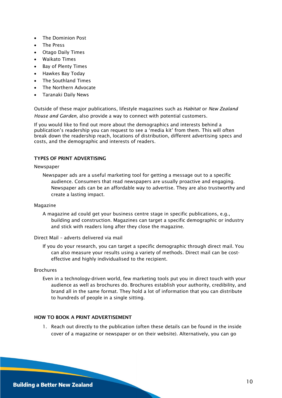- The Dominion Post
- The Press
- Otago Daily Times
- Waikato Times
- Bay of Plenty Times
- Hawkes Bay Today
- The Southland Times
- The Northern Advocate
- Taranaki Daily News

Outside of these major publications, lifestyle magazines such as *Habitat* or *New Zealand House and Garden,* also provide a way to connect with potential customers.

If you would like to find out more about the demographics and interests behind a publication's readership you can request to see a 'media kit' from them. This will often break down the readership reach, locations of distribution, different advertising specs and costs, and the demographic and interests of readers.

#### TYPES OF PRINT ADVERTISING

#### Newspaper

Newspaper ads are a useful marketing tool for getting a message out to a specific audience. Consumers that read newspapers are usually proactive and engaging. Newspaper ads can be an affordable way to advertise. They are also trustworthy and create a lasting impact.

#### Magazine

A magazine ad could get your business centre stage in specific publications, e.g., building and construction. Magazines can target a specific demographic or industry and stick with readers long after they close the magazine.

Direct Mail – adverts delivered via mail

If you do your research, you can target a specific demographic through direct mail. You can also measure your results using a variety of methods. Direct mail can be costeffective and highly individualised to the recipient.

#### Brochures

Even in a technology-driven world, few marketing tools put you in direct touch with your audience as well as brochures do. Brochures establish your authority, credibility, and brand all in the same format. They hold a lot of information that you can distribute to hundreds of people in a single sitting.

#### HOW TO BOOK A PRINT ADVERTISEMENT

1. Reach out directly to the publication (often these details can be found in the inside cover of a magazine or newspaper or on their website). Alternatively, you can go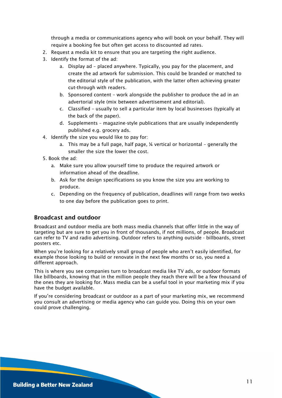through a media or communications agency who will book on your behalf. They will require a booking fee but often get access to discounted ad rates.

- 2. Request a media kit to ensure that you are targeting the right audience.
- 3. Identify the format of the ad:
	- a. Display ad placed anywhere. Typically, you pay for the placement, and create the ad artwork for submission. This could be branded or matched to the editorial style of the publication, with the latter often achieving greater cut-through with readers.
	- b. Sponsored content work alongside the publisher to produce the ad in an advertorial style (mix between advertisement and editorial).
	- c. Classified usually to sell a particular item by local businesses (typically at the back of the paper).
	- d. Supplements magazine-style publications that are usually independently published e.g. grocery ads.
- 4. Identify the size you would like to pay for:
	- a. This may be a full page, half page, ¼ vertical or horizontal generally the smaller the size the lower the cost.
- 5. Book the ad:
	- a. Make sure you allow yourself time to produce the required artwork or information ahead of the deadline.
	- b. Ask for the design specifications so you know the size you are working to produce.
	- c. Depending on the frequency of publication, deadlines will range from two weeks to one day before the publication goes to print.

# Broadcast and outdoor

Broadcast and outdoor media are both mass media channels that offer little in the way of targeting but are sure to get you in front of thousands, if not millions, of people. Broadcast can refer to TV and radio advertising. Outdoor refers to anything outside - billboards, street posters etc.

When you're looking for a relatively small group of people who aren't easily identified, for example those looking to build or renovate in the next few months or so, you need a different approach.

This is where you see companies turn to broadcast media like TV ads, or outdoor formats like billboards, knowing that in the million people they reach there will be a few thousand of the ones they are looking for. Mass media can be a useful tool in your marketing mix if you have the budget available.

If you're considering broadcast or outdoor as a part of your marketing mix, we recommend you consult an advertising or media agency who can guide you. Doing this on your own could prove challenging.